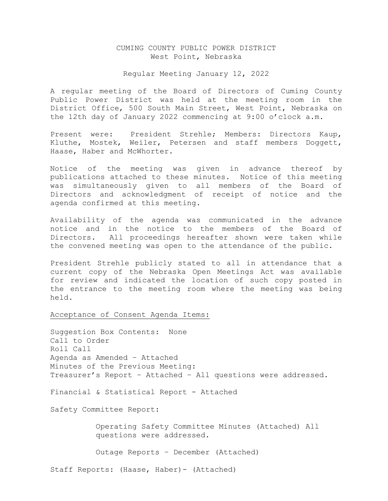## CUMING COUNTY PUBLIC POWER DISTRICT West Point, Nebraska

#### Regular Meeting January 12, 2022

A regular meeting of the Board of Directors of Cuming County Public Power District was held at the meeting room in the District Office, 500 South Main Street, West Point, Nebraska on the 12th day of January 2022 commencing at 9:00 o'clock a.m.

Present were: President Strehle; Members: Directors Kaup, Kluthe, Mostek, Weiler, Petersen and staff members Doggett, Haase, Haber and McWhorter.

Notice of the meeting was given in advance thereof by publications attached to these minutes. Notice of this meeting was simultaneously given to all members of the Board of Directors and acknowledgment of receipt of notice and the agenda confirmed at this meeting.

Availability of the agenda was communicated in the advance notice and in the notice to the members of the Board of Directors. All proceedings hereafter shown were taken while the convened meeting was open to the attendance of the public.

President Strehle publicly stated to all in attendance that a current copy of the Nebraska Open Meetings Act was available for review and indicated the location of such copy posted in the entrance to the meeting room where the meeting was being held.

Acceptance of Consent Agenda Items:

Suggestion Box Contents: None Call to Order Roll Call Agenda as Amended – Attached Minutes of the Previous Meeting: Treasurer's Report – Attached – All questions were addressed.

Financial & Statistical Report - Attached

Safety Committee Report:

 Operating Safety Committee Minutes (Attached) All questions were addressed.

Outage Reports – December (Attached)

Staff Reports: (Haase, Haber)- (Attached)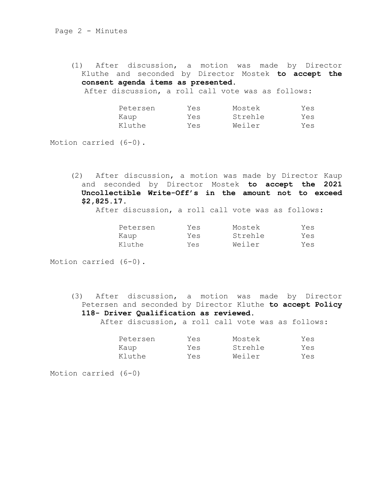(1) After discussion, a motion was made by Director Kluthe and seconded by Director Mostek **to accept the consent agenda items as presented.**

After discussion, a roll call vote was as follows:

| Petersen | Yes | Mostek  | Yes |
|----------|-----|---------|-----|
| Kaup     | Yes | Strehle | Yes |
| Kluthe   | Yes | Weiler  | Yes |

Motion carried (6-0).

(2) After discussion, a motion was made by Director Kaup and seconded by Director Mostek **to accept the 2021 Uncollectible Write-Off's in the amount not to exceed \$2,825.17.** 

After discussion, a roll call vote was as follows:

| Petersen | Yes | Mostek  | Yes |
|----------|-----|---------|-----|
| Kaup     | Yes | Strehle | Yes |
| Kluthe   | Yes | Weiler  | Yes |

Motion carried (6-0).

(3) After discussion, a motion was made by Director Petersen and seconded by Director Kluthe **to accept Policy 118- Driver Qualification as reviewed.**

After discussion, a roll call vote was as follows:

| Petersen | Yes | Mostek  | Yes |
|----------|-----|---------|-----|
| Kaup     | Yes | Strehle | Yes |
| Kluthe   | Yes | Weiler  | Yes |

Motion carried (6-0)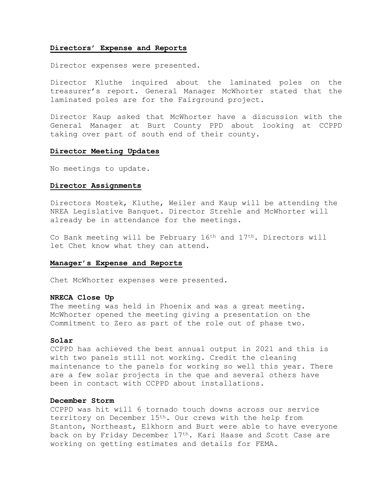### **Directors' Expense and Reports**

Director expenses were presented.

Director Kluthe inquired about the laminated poles on the treasurer's report. General Manager McWhorter stated that the laminated poles are for the Fairground project.

Director Kaup asked that McWhorter have a discussion with the General Manager at Burt County PPD about looking at CCPPD taking over part of south end of their county.

#### **Director Meeting Updates**

No meetings to update.

#### **Director Assignments**

Directors Mostek, Kluthe, Weiler and Kaup will be attending the NREA Legislative Banquet. Director Strehle and McWhorter will already be in attendance for the meetings.

Co Bank meeting will be February  $16<sup>th</sup>$  and  $17<sup>th</sup>$ . Directors will let Chet know what they can attend.

#### **Manager's Expense and Reports**

Chet McWhorter expenses were presented.

### **NRECA Close Up**

The meeting was held in Phoenix and was a great meeting. McWhorter opened the meeting giving a presentation on the Commitment to Zero as part of the role out of phase two.

### **Solar**

CCPPD has achieved the best annual output in 2021 and this is with two panels still not working. Credit the cleaning maintenance to the panels for working so well this year. There are a few solar projects in the que and several others have been in contact with CCPPD about installations.

### **December Storm**

CCPPD was hit will 6 tornado touch downs across our service territory on December 15th. Our crews with the help from Stanton, Northeast, Elkhorn and Burt were able to have everyone back on by Friday December 17<sup>th</sup>. Kari Haase and Scott Case are working on getting estimates and details for FEMA.